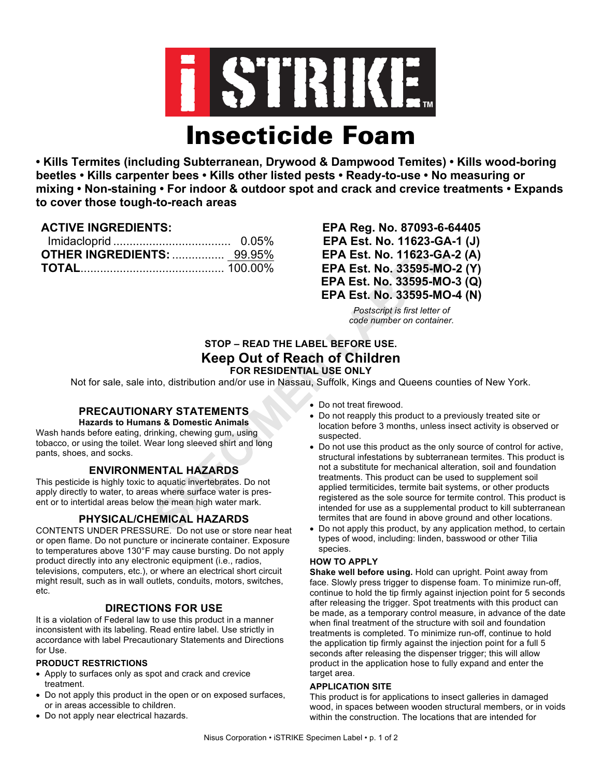

**• Kills Termites (including Subterranean, Drywood & Dampwood Temites) • Kills wood-boring beetles • Kills carpenter bees • Kills other listed pests • Ready-to-use • No measuring or mixing • Non-staining • For indoor & outdoor spot and crack and crevice treatments • Expands to cover those tough-to-reach areas**

## **ACTIVE INGREDIENTS:**

| <b>OTHER INGREDIENTS:  99.95%</b> |  |
|-----------------------------------|--|
|                                   |  |

**EPA Reg. No. 87093-6-64405 EPA Est. No. 11623-GA-1 (J) EPA Est. No. 11623-GA-2 (A) EPA Est. No. 33595-MO-2 (Y) EPA Est. No. 33595-MO-3 (Q) EPA Est. No. 33595-MO-4 (N)**

> *Postscript is first letter of code number on container.*

# **STOP – READ THE LABEL BEFORE USE. Keep Out of Reach of Children FOR RESIDENTIAL USE ONLY**

Not for sale, sale into, distribution and/or use in Nassau, Suffolk, Kings and Queens counties of New York.

# **PRECAUTIONARY STATEMENTS**

**Hazards to Humans & Domestic Animals**

Wash hands before eating, drinking, chewing gum, using tobacco, or using the toilet. Wear long sleeved shirt and long pants, shoes, and socks.

# **ENVIRONMENTAL HAZARDS**

This pesticide is highly toxic to aquatic invertebrates. Do not apply directly to water, to areas where surface water is present or to intertidal areas below the mean high water mark.

# **PHYSICAL/CHEMICAL HAZARDS**

CONTENTS UNDER PRESSURE. Do not use or store near heat or open flame. Do not puncture or incinerate container. Exposure to temperatures above 130°F may cause bursting. Do not apply product directly into any electronic equipment (i.e., radios, televisions, computers, etc.), or where an electrical short circuit might result, such as in wall outlets, conduits, motors, switches, etc.

# **DIRECTIONS FOR USE**

It is a violation of Federal law to use this product in a manner inconsistent with its labeling. Read entire label. Use strictly in accordance with label Precautionary Statements and Directions for Use.

### **PRODUCT RESTRICTIONS**

- Apply to surfaces only as spot and crack and crevice treatment.
- Do not apply this product in the open or on exposed surfaces, or in areas accessible to children.
- Do not apply near electrical hazards.
- Do not treat firewood.
- Do not reapply this product to a previously treated site or location before 3 months, unless insect activity is observed or suspected.
- Do not use this product as the only source of control for active, structural infestations by subterranean termites. This product is not a substitute for mechanical alteration, soil and foundation treatments. This product can be used to supplement soil applied termiticides, termite bait systems, or other products registered as the sole source for termite control. This product is intended for use as a supplemental product to kill subterranean termites that are found in above ground and other locations.
- Do not apply this product, by any application method, to certain types of wood, including: linden, basswood or other Tilia species.

## **HOW TO APPLY**

**Shake well before using.** Hold can upright. Point away from face. Slowly press trigger to dispense foam. To minimize run-off, continue to hold the tip firmly against injection point for 5 seconds after releasing the trigger. Spot treatments with this product can be made, as a temporary control measure, in advance of the date when final treatment of the structure with soil and foundation treatments is completed. To minimize run-off, continue to hold the application tip firmly against the injection point for a full 5 seconds after releasing the dispenser trigger; this will allow product in the application hose to fully expand and enter the target area.

### **APPLICATION SITE**

This product is for applications to insect galleries in damaged wood, in spaces between wooden structural members, or in voids within the construction. The locations that are intended for